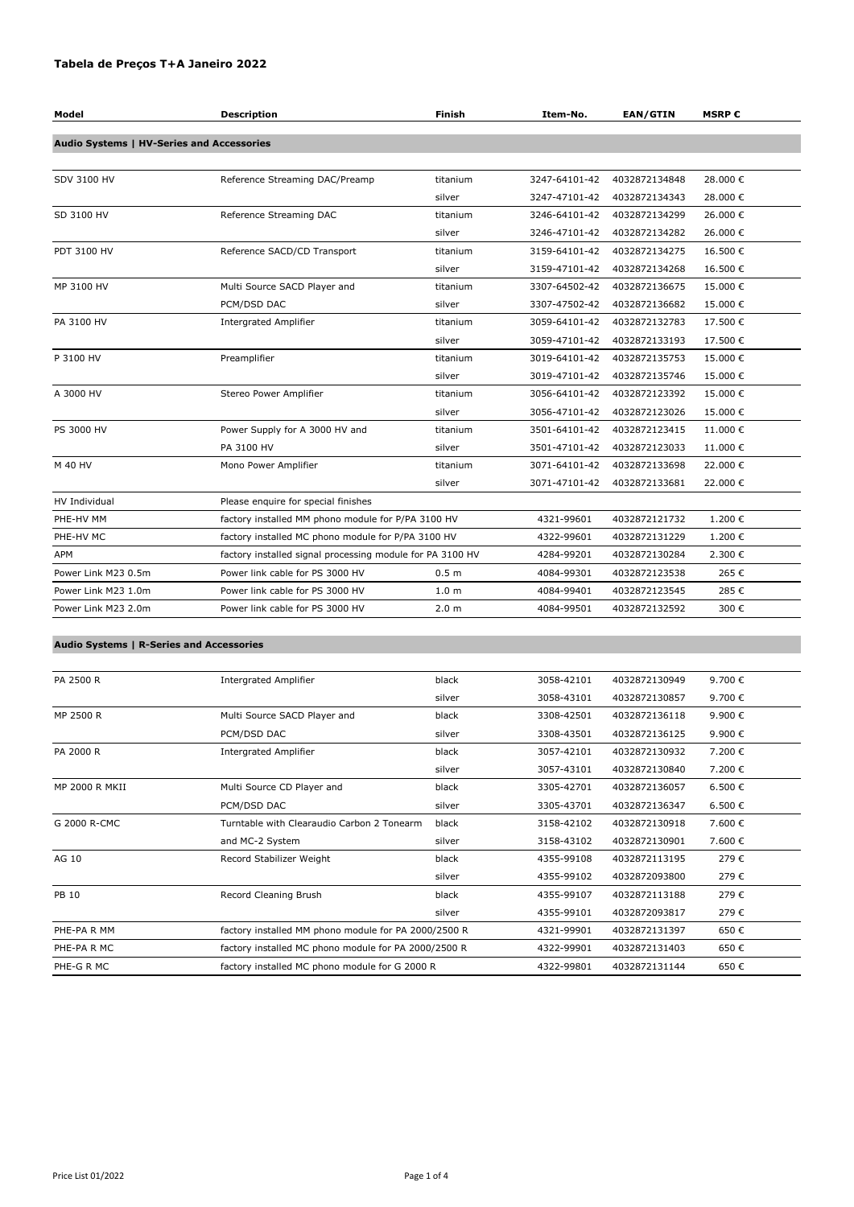## **Tabela de Preços T+A Janeiro 2022**

| Model                                           | <b>Description</b>                                        | Finish           | Item-No.      | <b>EAN/GTIN</b> | <b>MSRP€</b> |
|-------------------------------------------------|-----------------------------------------------------------|------------------|---------------|-----------------|--------------|
| Audio Systems   HV-Series and Accessories       |                                                           |                  |               |                 |              |
|                                                 |                                                           |                  |               |                 |              |
| <b>SDV 3100 HV</b>                              | Reference Streaming DAC/Preamp                            | titanium         | 3247-64101-42 | 4032872134848   | 28.000€      |
|                                                 |                                                           | silver           | 3247-47101-42 | 4032872134343   | 28.000€      |
| SD 3100 HV                                      | Reference Streaming DAC                                   | titanium         | 3246-64101-42 | 4032872134299   | 26.000€      |
|                                                 |                                                           | silver           | 3246-47101-42 | 4032872134282   | 26.000€      |
| PDT 3100 HV                                     | Reference SACD/CD Transport                               | titanium         | 3159-64101-42 | 4032872134275   | 16.500€      |
|                                                 |                                                           | silver           | 3159-47101-42 | 4032872134268   | 16.500€      |
| MP 3100 HV                                      | Multi Source SACD Player and                              | titanium         | 3307-64502-42 | 4032872136675   | 15.000€      |
|                                                 | PCM/DSD DAC                                               | silver           | 3307-47502-42 | 4032872136682   | 15.000€      |
| PA 3100 HV                                      | <b>Intergrated Amplifier</b>                              | titanium         | 3059-64101-42 | 4032872132783   | 17.500€      |
|                                                 |                                                           | silver           | 3059-47101-42 | 4032872133193   | 17.500€      |
| P 3100 HV                                       | Preamplifier                                              | titanium         | 3019-64101-42 | 4032872135753   | 15.000€      |
|                                                 |                                                           | silver           | 3019-47101-42 | 4032872135746   | 15.000€      |
| A 3000 HV                                       | Stereo Power Amplifier                                    | titanium         | 3056-64101-42 | 4032872123392   | 15.000€      |
|                                                 |                                                           | silver           | 3056-47101-42 | 4032872123026   | 15.000€      |
| PS 3000 HV                                      | Power Supply for A 3000 HV and                            | titanium         | 3501-64101-42 | 4032872123415   | 11.000€      |
|                                                 | PA 3100 HV                                                | silver           | 3501-47101-42 | 4032872123033   | 11.000€      |
| M 40 HV                                         | Mono Power Amplifier                                      | titanium         | 3071-64101-42 | 4032872133698   | 22.000€      |
|                                                 |                                                           | silver           | 3071-47101-42 | 4032872133681   | 22.000€      |
| HV Individual                                   | Please enquire for special finishes                       |                  |               |                 |              |
| PHE-HV MM                                       | factory installed MM phono module for P/PA 3100 HV        |                  | 4321-99601    | 4032872121732   | 1.200€       |
| PHE-HV MC                                       | factory installed MC phono module for P/PA 3100 HV        |                  | 4322-99601    | 4032872131229   | 1.200€       |
| APM                                             | factory installed signal processing module for PA 3100 HV |                  | 4284-99201    | 4032872130284   | 2.300 €      |
| Power Link M23 0.5m                             | Power link cable for PS 3000 HV                           | 0.5 <sub>m</sub> | 4084-99301    | 4032872123538   | 265€         |
| Power Link M23 1.0m                             | Power link cable for PS 3000 HV                           | 1.0 <sub>m</sub> | 4084-99401    | 4032872123545   | 285€         |
| Power Link M23 2.0m                             | Power link cable for PS 3000 HV                           | 2.0 <sub>m</sub> | 4084-99501    | 4032872132592   | 300€         |
|                                                 |                                                           |                  |               |                 |              |
| <b>Audio Systems   R-Series and Accessories</b> |                                                           |                  |               |                 |              |
|                                                 |                                                           |                  |               |                 |              |
| PA 2500 R                                       | <b>Intergrated Amplifier</b>                              | black            | 3058-42101    | 4032872130949   | 9.700€       |
|                                                 |                                                           | silver           | 3058-43101    | 4032872130857   | 9.700€       |

| MP 2500 R             | Multi Source SACD Player and               | black           | 3308-42501     | 4032872136118 | 9.900€           |  |
|-----------------------|--------------------------------------------|-----------------|----------------|---------------|------------------|--|
|                       | PCM/DSD DAC                                | silver          | 3308-43501     | 4032872136125 | 9.900 €          |  |
| PA 2000 R             | <b>Intergrated Amplifier</b>               | black           | 3057-42101     | 4032872130932 | 7.200 €          |  |
|                       |                                            | silver          | 3057-43101     | 4032872130840 | 7.200 €          |  |
| <b>MP 2000 R MKII</b> | Multi Source CD Player and                 | black           | 3305-42701     | 4032872136057 | 6.500 $\epsilon$ |  |
|                       | PCM/DSD DAC                                | silver          | 3305-43701     | 4032872136347 | 6.500 $\epsilon$ |  |
| G 2000 R-CMC          | Turntable with Clearaudio Carbon 2 Tonearm | black           | 3158-42102     | 4032872130918 | 7.600 €          |  |
|                       | and MC-2 System                            | silver          | 3158-43102     | 4032872130901 | 7.600 €          |  |
| AG 10                 | Record Stabilizer Weight                   | black           | 4355-99108     | 4032872113195 | 279€             |  |
|                       |                                            | silver          | 4355-99102     | 4032872093800 | 279€             |  |
| <b>PB 10</b>          | Record Cleaning Brush                      | black           | 4355-99107     | 4032872113188 | 279€             |  |
|                       |                                            | المحامل والقامر | $125F$ $0.101$ | 1022072002017 | ה הדר            |  |

|             | siiver                                               | 4333-99101 | 4032872093817 | 279 E |
|-------------|------------------------------------------------------|------------|---------------|-------|
| PHE-PA R MM | factory installed MM phono module for PA 2000/2500 R | 4321-99901 | 4032872131397 | 650€  |
| PHE-PA R MC | factory installed MC phono module for PA 2000/2500 R | 4322-99901 | 4032872131403 | 650€  |
| PHE-G R MC  | factory installed MC phono module for G 2000 R       | 4322-99801 | 4032872131144 | 650€  |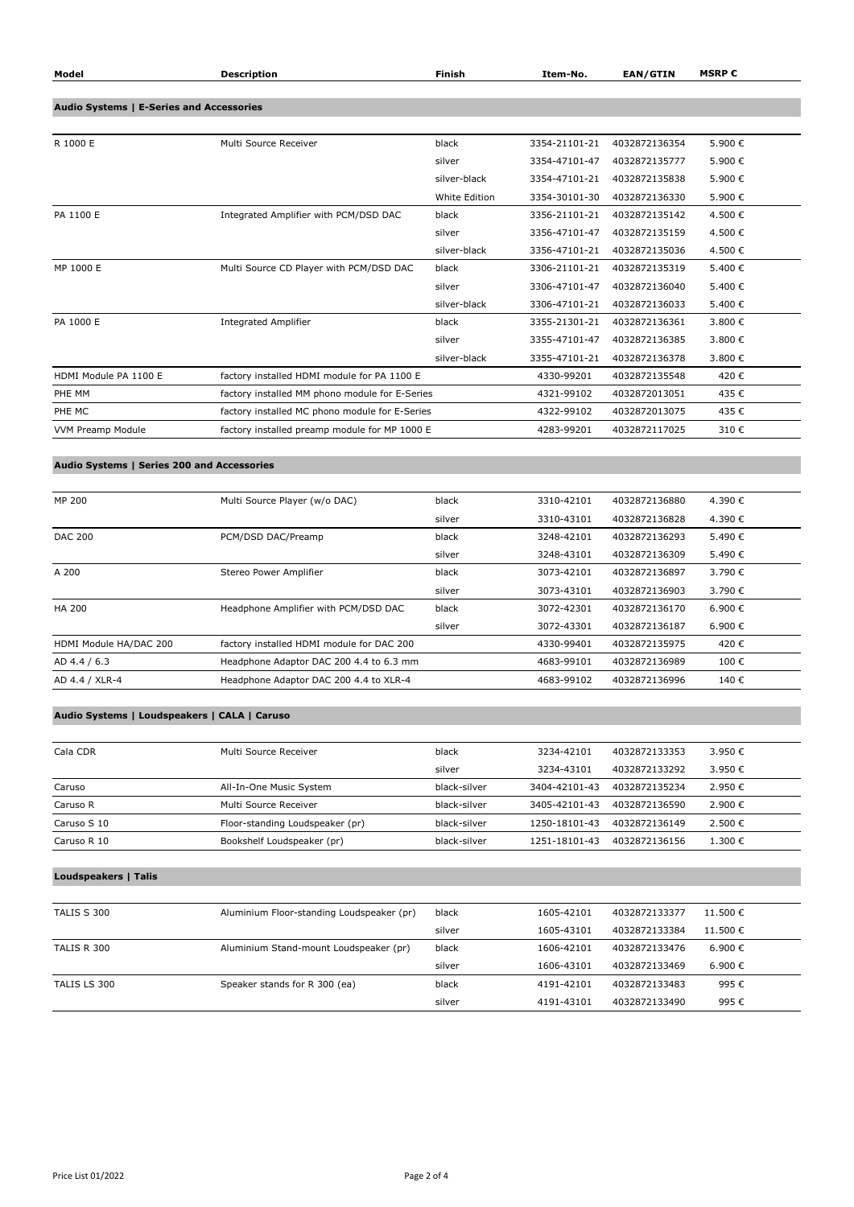| Model                                           | <b>Description</b>                             | Finish        | Item-No.      | <b>EAN/GTIN</b> | <b>MSRP€</b> |
|-------------------------------------------------|------------------------------------------------|---------------|---------------|-----------------|--------------|
|                                                 |                                                |               |               |                 |              |
| <b>Audio Systems   E-Series and Accessories</b> |                                                |               |               |                 |              |
| R 1000 E                                        | Multi Source Receiver                          | black         | 3354-21101-21 | 4032872136354   | 5.900€       |
|                                                 |                                                | silver        | 3354-47101-47 | 4032872135777   | 5.900€       |
|                                                 |                                                | silver-black  | 3354-47101-21 | 4032872135838   | 5.900€       |
|                                                 |                                                | White Edition | 3354-30101-30 | 4032872136330   | 5.900€       |
| PA 1100 E                                       | Integrated Amplifier with PCM/DSD DAC          | black         | 3356-21101-21 | 4032872135142   | 4.500€       |
|                                                 |                                                | silver        | 3356-47101-47 | 4032872135159   | 4.500 €      |
|                                                 |                                                | silver-black  | 3356-47101-21 | 4032872135036   | 4.500€       |
| MP 1000 E                                       | Multi Source CD Player with PCM/DSD DAC        | black         | 3306-21101-21 | 4032872135319   | 5.400€       |
|                                                 |                                                | silver        | 3306-47101-47 | 4032872136040   | 5.400€       |
|                                                 |                                                | silver-black  | 3306-47101-21 | 4032872136033   | 5.400€       |
| PA 1000 E                                       | <b>Integrated Amplifier</b>                    | black         | 3355-21301-21 | 4032872136361   | 3.800€       |
|                                                 |                                                | silver        | 3355-47101-47 | 4032872136385   | 3.800 €      |
|                                                 |                                                | silver-black  | 3355-47101-21 | 4032872136378   | 3.800€       |
| HDMI Module PA 1100 E                           | factory installed HDMI module for PA 1100 E    |               | 4330-99201    | 4032872135548   | 420€         |
| PHE MM                                          | factory installed MM phono module for E-Series |               | 4321-99102    | 4032872013051   | 435€         |
| PHE MC                                          | factory installed MC phono module for E-Series |               | 4322-99102    | 4032872013075   | 435€         |
| <b>VVM Preamp Module</b>                        | factory installed preamp module for MP 1000 E  |               | 4283-99201    | 4032872117025   | 310€         |
|                                                 |                                                |               |               |                 |              |
| Audio Systems   Series 200 and Accessories      |                                                |               |               |                 |              |
| MP 200                                          | Multi Source Player (w/o DAC)                  | black         | 3310-42101    | 4032872136880   | 4.390€       |
|                                                 |                                                |               |               |                 |              |
|                                                 |                                                | silver        | 3310-43101    | 4032872136828   | 4.390€       |
| <b>DAC 200</b>                                  | PCM/DSD DAC/Preamp                             | black         | 3248-42101    | 4032872136293   | 5.490€       |
|                                                 |                                                | silver        | 3248-43101    | 4032872136309   | 5.490€       |
| A 200                                           | Stereo Power Amplifier                         | black         | 3073-42101    | 4032872136897   | 3.790€       |

|                        |                                           | silver | 3073-43101 | 4032872136903 | 3.790 € |
|------------------------|-------------------------------------------|--------|------------|---------------|---------|
| HA 200                 | Headphone Amplifier with PCM/DSD DAC      | black  | 3072-42301 | 4032872136170 | 6.900 € |
|                        |                                           | silver | 3072-43301 | 4032872136187 | 6.900 € |
| HDMI Module HA/DAC 200 | factory installed HDMI module for DAC 200 |        | 4330-99401 | 4032872135975 | 420 €   |
| AD 4.4 / 6.3           | Headphone Adaptor DAC 200 4.4 to 6.3 mm   |        | 4683-99101 | 4032872136989 | 100€    |
| AD 4.4 / XLR-4         | Headphone Adaptor DAC 200 4.4 to XLR-4    |        | 4683-99102 | 4032872136996 | 140 €   |

## **Audio Systems | Loudspeakers | CALA | Caruso**

| Cala CDR    | Multi Source Receiver           | black        | 3234-42101    | 4032872133353 | 3.950 €     |
|-------------|---------------------------------|--------------|---------------|---------------|-------------|
|             |                                 | silver       | 3234-43101    | 4032872133292 | 3.950 €     |
| Caruso      | All-In-One Music System         | black-silver | 3404-42101-43 | 4032872135234 | 2.950 €     |
| Caruso R    | Multi Source Receiver           | black-silver | 3405-42101-43 | 4032872136590 | 2.900 €     |
| Caruso S 10 | Floor-standing Loudspeaker (pr) | black-silver | 1250-18101-43 | 4032872136149 | $2.500 \in$ |
| Caruso R 10 | Bookshelf Loudspeaker (pr)      | black-silver | 1251-18101-43 | 4032872136156 | 1.300 €     |

**Loudspeakers | Talis**

| TALIS S 300  | Aluminium Floor-standing Loudspeaker (pr) | black  | 1605-42101 | 4032872133377 | 11.500 € |
|--------------|-------------------------------------------|--------|------------|---------------|----------|
|              |                                           | silver | 1605-43101 | 4032872133384 | 11.500 € |
| TALIS R 300  | Aluminium Stand-mount Loudspeaker (pr)    | black  | 1606-42101 | 4032872133476 | 6.900 €  |
|              |                                           | silver | 1606-43101 | 4032872133469 | 6.900 €  |
| TALIS LS 300 | Speaker stands for R 300 (ea)             | black  | 4191-42101 | 4032872133483 | 995€     |
|              |                                           | silver | 4191-43101 | 4032872133490 | 995€     |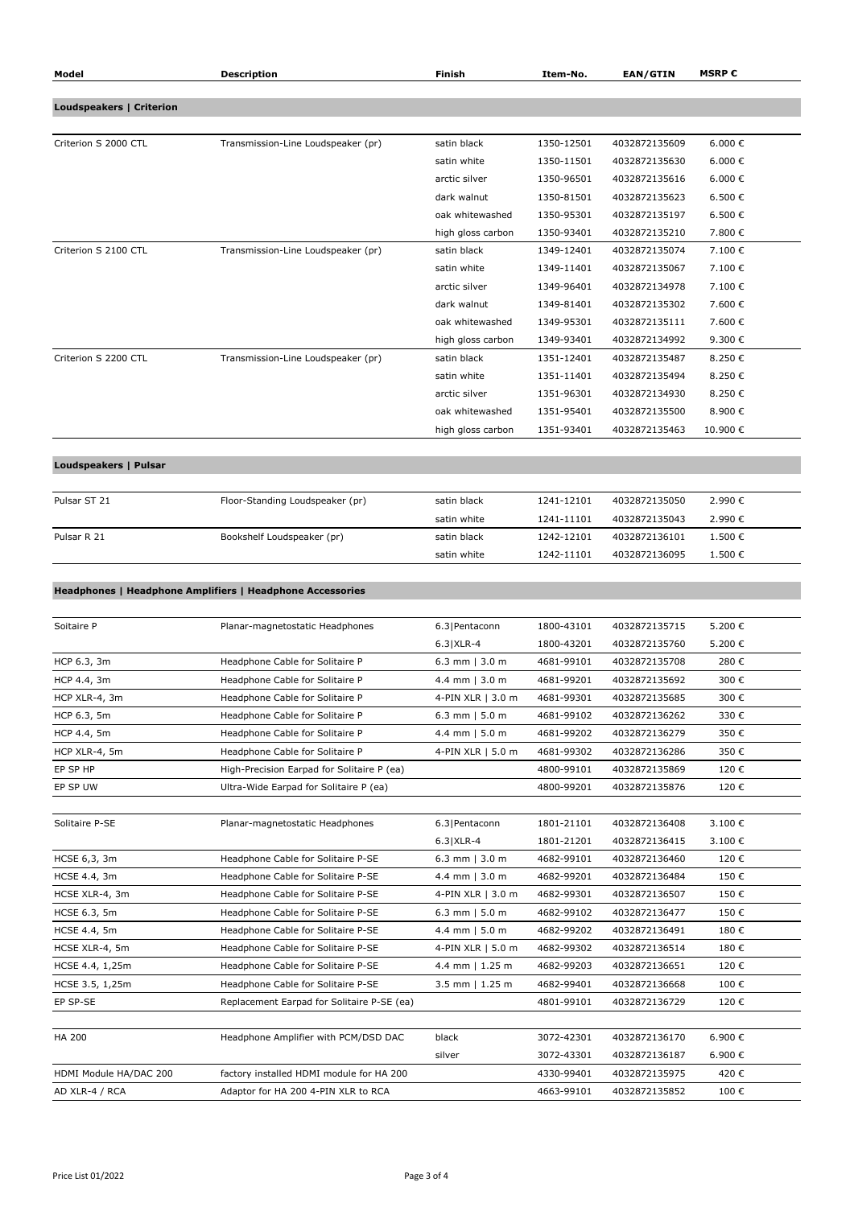| Model                           | <b>Description</b>                                                       | <b>Finish</b>                              | Item-No.                 | <b>EAN/GTIN</b>                | <b>MSRP€</b>          |
|---------------------------------|--------------------------------------------------------------------------|--------------------------------------------|--------------------------|--------------------------------|-----------------------|
|                                 |                                                                          |                                            |                          |                                |                       |
| <b>Loudspeakers   Criterion</b> |                                                                          |                                            |                          |                                |                       |
|                                 |                                                                          |                                            |                          |                                |                       |
| Criterion S 2000 CTL            | Transmission-Line Loudspeaker (pr)                                       | satin black                                | 1350-12501               | 4032872135609                  | 6.000 €               |
|                                 |                                                                          | satin white                                | 1350-11501               | 4032872135630                  | 6.000 €               |
|                                 |                                                                          | arctic silver<br>dark walnut               | 1350-96501               | 4032872135616                  | 6.000 $\in$<br>6.500€ |
|                                 |                                                                          | oak whitewashed                            | 1350-81501<br>1350-95301 | 4032872135623<br>4032872135197 | 6.500€                |
|                                 |                                                                          | high gloss carbon                          | 1350-93401               | 4032872135210                  | 7.800 €               |
| Criterion S 2100 CTL            | Transmission-Line Loudspeaker (pr)                                       | satin black                                | 1349-12401               | 4032872135074                  | 7.100€                |
|                                 |                                                                          | satin white                                | 1349-11401               | 4032872135067                  | 7.100€                |
|                                 |                                                                          | arctic silver                              | 1349-96401               | 4032872134978                  | 7.100€                |
|                                 |                                                                          | dark walnut                                | 1349-81401               | 4032872135302                  | 7.600€                |
|                                 |                                                                          | oak whitewashed                            | 1349-95301               | 4032872135111                  | 7.600€                |
|                                 |                                                                          | high gloss carbon                          | 1349-93401               | 4032872134992                  | 9.300€                |
| Criterion S 2200 CTL            | Transmission-Line Loudspeaker (pr)                                       | satin black                                | 1351-12401               | 4032872135487                  | 8.250€                |
|                                 |                                                                          | satin white                                | 1351-11401               | 4032872135494                  | 8.250€                |
|                                 |                                                                          | arctic silver                              | 1351-96301               | 4032872134930                  | 8.250€                |
|                                 |                                                                          | oak whitewashed                            | 1351-95401               | 4032872135500                  | 8.900€                |
|                                 |                                                                          | high gloss carbon                          | 1351-93401               | 4032872135463                  | 10.900€               |
|                                 |                                                                          |                                            |                          |                                |                       |
| Loudspeakers   Pulsar           |                                                                          |                                            |                          |                                |                       |
|                                 |                                                                          |                                            |                          |                                |                       |
| Pulsar ST 21                    | Floor-Standing Loudspeaker (pr)                                          | satin black                                | 1241-12101               | 4032872135050                  | 2.990€                |
|                                 |                                                                          | satin white                                | 1241-11101               | 4032872135043                  | 2.990€                |
| Pulsar R 21                     | Bookshelf Loudspeaker (pr)                                               | satin black                                | 1242-12101               | 4032872136101                  | 1.500€                |
|                                 |                                                                          | satin white                                | 1242-11101               | 4032872136095                  | 1.500€                |
|                                 |                                                                          |                                            |                          |                                |                       |
|                                 | Headphones   Headphone Amplifiers   Headphone Accessories                |                                            |                          |                                |                       |
|                                 |                                                                          |                                            |                          |                                |                       |
| Soitaire P                      | Planar-magnetostatic Headphones                                          | 6.3 Pentaconn                              | 1800-43101               | 4032872135715                  | 5.200€                |
|                                 |                                                                          | $6.3$ $XLR-4$                              | 1800-43201               | 4032872135760                  | 5.200€                |
| HCP 6.3, 3m                     | Headphone Cable for Solitaire P                                          | 6.3 mm $ 3.0 m$                            | 4681-99101               | 4032872135708                  | 280€                  |
| HCP 4.4, 3m                     | Headphone Cable for Solitaire P                                          | 4.4 mm $ 3.0 m$                            | 4681-99201               | 4032872135692                  | 300€                  |
| HCP XLR-4, 3m                   | Headphone Cable for Solitaire P                                          | 4-PIN XLR   3.0 m                          | 4681-99301               | 4032872135685                  | 300€                  |
| HCP 6.3, 5m                     | Headphone Cable for Solitaire P                                          | 6.3 mm $  5.0 m$                           | 4681-99102               | 4032872136262                  | 330€                  |
| HCP 4.4, 5m                     | Headphone Cable for Solitaire P                                          | 4.4 mm $  5.0 m$                           | 4681-99202               | 4032872136279                  | 350€                  |
| HCP XLR-4, 5m                   | Headphone Cable for Solitaire P                                          | 4-PIN XLR   5.0 m                          | 4681-99302               | 4032872136286                  | 350€                  |
| EP SP HP                        | High-Precision Earpad for Solitaire P (ea)                               |                                            | 4800-99101               | 4032872135869                  | 120€                  |
| EP SP UW                        | Ultra-Wide Earpad for Solitaire P (ea)                                   |                                            | 4800-99201               | 4032872135876                  | 120€                  |
|                                 |                                                                          |                                            |                          |                                |                       |
| Solitaire P-SE                  | Planar-magnetostatic Headphones                                          | 6.3 Pentaconn                              | 1801-21101               | 4032872136408                  | 3.100€                |
|                                 |                                                                          | $6.3$ $XLR-4$                              | 1801-21201               | 4032872136415                  | 3.100€<br>120€        |
| HCSE 6,3, 3m<br>HCSE 4.4, 3m    | Headphone Cable for Solitaire P-SE<br>Headphone Cable for Solitaire P-SE | 6.3 mm $ 3.0 \text{ m}$<br>4.4 mm $ 3.0 m$ | 4682-99101<br>4682-99201 | 4032872136460<br>4032872136484 | 150€                  |
| HCSE XLR-4, 3m                  | Headphone Cable for Solitaire P-SE                                       | 4-PIN XLR   3.0 m                          | 4682-99301               | 4032872136507                  | 150€                  |
| HCSE 6.3, 5m                    | Headphone Cable for Solitaire P-SE                                       | 6.3 mm $  5.0 m$                           | 4682-99102               | 4032872136477                  | 150€                  |
| <b>HCSE 4.4, 5m</b>             | Headphone Cable for Solitaire P-SE                                       | 4.4 mm   5.0 m                             | 4682-99202               | 4032872136491                  | 180€                  |
| HCSE XLR-4, 5m                  | Headphone Cable for Solitaire P-SE                                       | 4-PIN XLR   5.0 m                          | 4682-99302               | 4032872136514                  | 180€                  |
| HCSE 4.4, 1,25m                 | Headphone Cable for Solitaire P-SE                                       | 4.4 mm   1.25 m                            | 4682-99203               | 4032872136651                  | 120€                  |
| HCSE 3.5, 1,25m                 | Headphone Cable for Solitaire P-SE                                       | 3.5 mm $  1.25 m$                          | 4682-99401               | 4032872136668                  | 100€                  |
| EP SP-SE                        | Replacement Earpad for Solitaire P-SE (ea)                               |                                            | 4801-99101               | 4032872136729                  | 120€                  |
|                                 |                                                                          |                                            |                          |                                |                       |
| <b>HA 200</b>                   | Headphone Amplifier with PCM/DSD DAC                                     | black                                      | 3072-42301               | 4032872136170                  | 6.900€                |
|                                 |                                                                          | silver                                     | 3072-43301               | 4032872136187                  | 6.900€                |
| HDMI Module HA/DAC 200          | factory installed HDMI module for HA 200                                 |                                            | 4330-99401               | 4032872135975                  | 420€                  |
| AD XLR-4 / RCA                  | Adaptor for HA 200 4-PIN XLR to RCA                                      |                                            | 4663-99101               | 4032872135852                  | 100€                  |